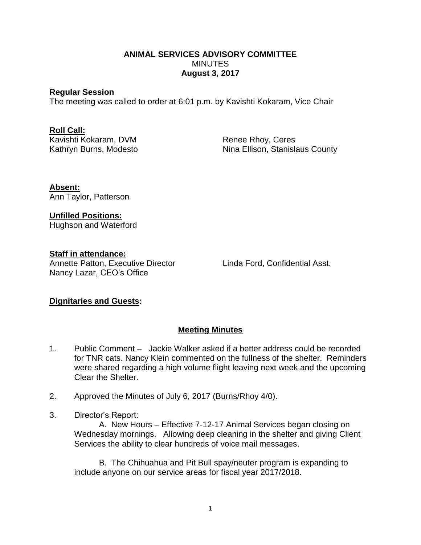#### **ANIMAL SERVICES ADVISORY COMMITTEE MINUTES August 3, 2017**

#### **Regular Session**

The meeting was called to order at 6:01 p.m. by Kavishti Kokaram, Vice Chair

# **Roll Call:**

Kavishti Kokaram, DVM Renee Rhoy, Ceres

Kathryn Burns, Modesto Nina Ellison, Stanislaus County

**Absent:** Ann Taylor, Patterson

**Unfilled Positions:** Hughson and Waterford

## **Staff in attendance:**

Annette Patton, Executive Director Linda Ford, Confidential Asst. Nancy Lazar, CEO's Office

## **Dignitaries and Guests:**

## **Meeting Minutes**

- 1. Public Comment Jackie Walker asked if a better address could be recorded for TNR cats. Nancy Klein commented on the fullness of the shelter. Reminders were shared regarding a high volume flight leaving next week and the upcoming Clear the Shelter.
- 2. Approved the Minutes of July 6, 2017 (Burns/Rhoy 4/0).
- 3. Director's Report:

A. New Hours – Effective 7-12-17 Animal Services began closing on Wednesday mornings. Allowing deep cleaning in the shelter and giving Client Services the ability to clear hundreds of voice mail messages.

B. The Chihuahua and Pit Bull spay/neuter program is expanding to include anyone on our service areas for fiscal year 2017/2018.